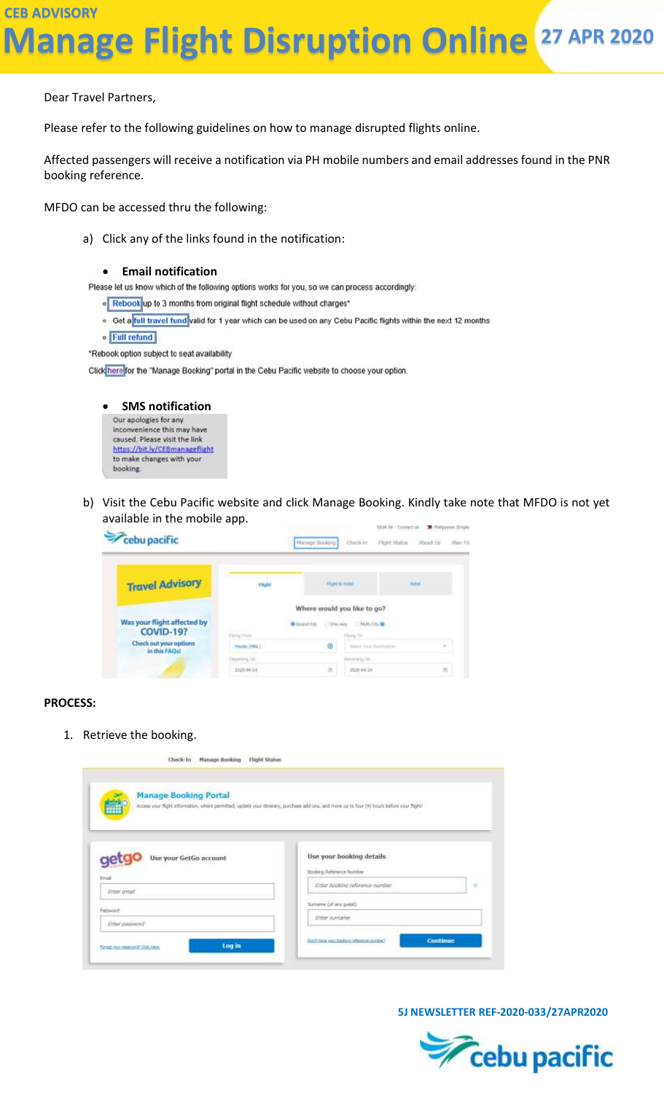Dear Travel Partners,

Please refer to the following guidelines on how to manage disrupted flights online.

Affected passengers will receive a notification via PH mobile numbers and email addresses found in the PNR booking reference.

MFDO can be accessed thru the following:

a) Click any of the links found in the notification:

**Email notification**<br>Please let us know which of the following options works for you, so we can process accordingly:

. Rebook up to 3 months from original flight schedule without charges\*

- o Get a full travel fund valid for 1 year which can be used on any Cebu Pacific flights within the next 12 months
- · Full refund

\*Rebook option subject to seat availability

Click here for the "Manage Booking" portal in the Cebu Pacific website to choose your option.



b) Visit the Cebu Pacific website and click Manage Booking. Kindly take note that MFDO is not yet available in the mobile app.

| Cebu pacific                                    |                                        | Check in<br><b>Henege Booking</b>                                                 | SEEM THE CONDUCT LINE THE PRODUCTION CONDUCT<br>Flight Status<br>About Us Him Tri |
|-------------------------------------------------|----------------------------------------|-----------------------------------------------------------------------------------|-----------------------------------------------------------------------------------|
| <b>Travel Advisory</b>                          | Hight                                  | <b>Plant &amp; Hotel</b><br><b><i><u>College The Real</u></i></b>                 | Huted<br><b>MATTER</b>                                                            |
| Was your flight affected by<br><b>COVID-19?</b> | <b>RATIONAL</b><br><b>Plying Hotel</b> | Where would you like to go?<br>Cower Change<br><b>Writered</b> from<br>Hybrid 300 |                                                                                   |
| Check out your options<br>in this FAQs!         | Plande (HHL)<br><b>Departured City</b> | ø<br>fatted Vall Deelroken<br>PARTNERS OFF                                        | $\sim$                                                                            |
|                                                 | 2020-04-34                             | 目<br>2020-04-24                                                                   |                                                                                   |

#### **PROCESS:**

1. Retrieve the booking.

| <b>Manage Booking Portal</b><br>ń           | Access your fight information, where permitted, update your dinerary, purchase add-ons, and more up to four (H) hours before your flight! |           |
|---------------------------------------------|-------------------------------------------------------------------------------------------------------------------------------------------|-----------|
|                                             |                                                                                                                                           |           |
|                                             |                                                                                                                                           |           |
| Use your GetGo account<br>get               | Use your booking details                                                                                                                  |           |
|                                             | Booking Reference Number                                                                                                                  |           |
|                                             |                                                                                                                                           |           |
| Enter email                                 | Enter booking reference number                                                                                                            | $\vec{a}$ |
|                                             | Sumarra (of any puest)                                                                                                                    |           |
| <b>Drial</b><br>Patawaid:<br>Enter password | <b>Eiter sumaner</b>                                                                                                                      |           |

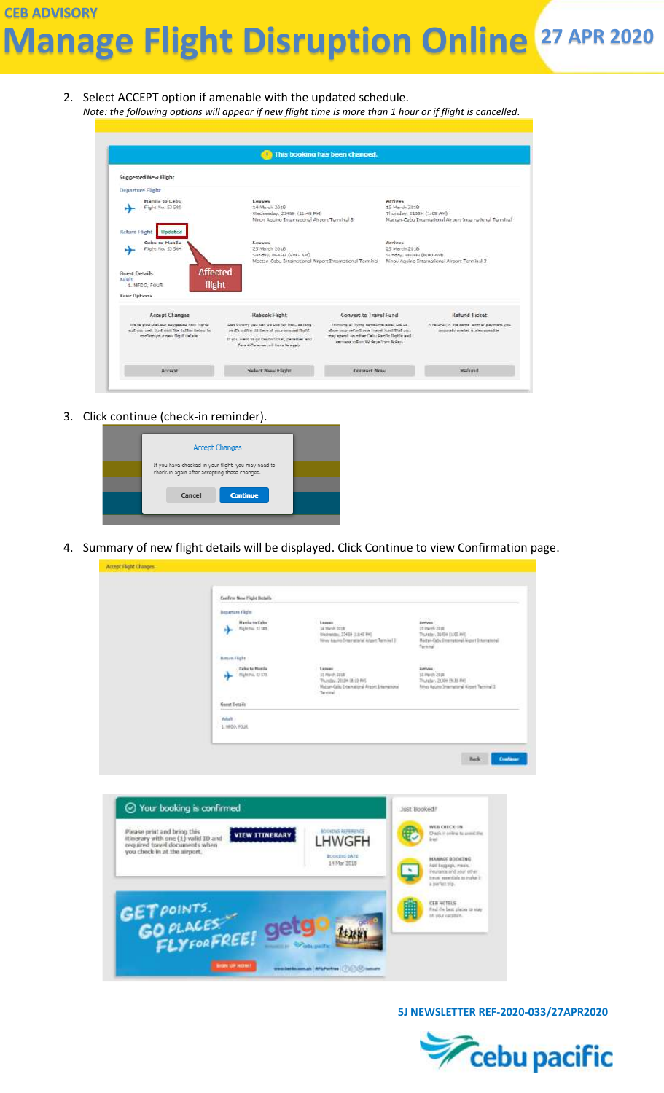**CEB ADVISORY Manage Flight Disruption Online <sup>27</sup> APR <sup>2020</sup>**

2. Select ACCEPT option if amenable with the updated schedule. *Note: the following options will appear if new flight time is more than 1 hour or if flight is cancelled.*

| This booking has been changed.                                                                                                   |                                                                                                                                                                                        |                                                                                                                                                                           |                                                       |                                                                                 |
|----------------------------------------------------------------------------------------------------------------------------------|----------------------------------------------------------------------------------------------------------------------------------------------------------------------------------------|---------------------------------------------------------------------------------------------------------------------------------------------------------------------------|-------------------------------------------------------|---------------------------------------------------------------------------------|
| <b>Suggested New Flight</b>                                                                                                      |                                                                                                                                                                                        |                                                                                                                                                                           |                                                       |                                                                                 |
| <b>Departure Flight</b>                                                                                                          |                                                                                                                                                                                        |                                                                                                                                                                           |                                                       |                                                                                 |
| <b>Hanila to Cebu</b><br>Fight No. 53 589                                                                                        | Leaves<br>14 March 2018<br>Wednesday, 2345H (11:45 PM)<br>Ninoy Aguino International Airport Terminal 3                                                                                |                                                                                                                                                                           | Arrivac<br>15 March 2018<br>Thursday, 0105H (1:05 AM) | Mactan-Cabu International Airport International Terminal                        |
| <b>Return Flight</b><br>Updated                                                                                                  |                                                                                                                                                                                        |                                                                                                                                                                           |                                                       |                                                                                 |
| Cobu to Manila<br>Field: No. 53 564                                                                                              | Eleaves<br>25 March 2018<br>Sunday, 0645H (6:45 AM)<br>Mactan-Cebu International Airport International Terminal                                                                        |                                                                                                                                                                           | Arrivac<br>35 March 2018<br>Sunday, 0800H (8:00 AM)   | Ninoy Aguino International Airport Terminal 3                                   |
| <b>Guest Details</b><br>Adult:<br>1. MFDC: FOUR                                                                                  | <b>Affected</b><br>flight                                                                                                                                                              |                                                                                                                                                                           |                                                       |                                                                                 |
| Vaur Options                                                                                                                     |                                                                                                                                                                                        |                                                                                                                                                                           |                                                       |                                                                                 |
| Accept Changes                                                                                                                   | <b>Rebook Flight</b>                                                                                                                                                                   | <b>Convert to Travel Fund</b>                                                                                                                                             |                                                       | <b>Refund Ticket</b>                                                            |
| We're sled that our succeeded new fits/da-<br>all you well. Just slide the full see use five<br>esettem your new flight details. | Con't youry you can be this for free, as long.<br>as it's within 30 days of mur priginal flight.<br>If you want to go beyond that, penalties and<br>fare difference will have to apply | Thinking of Tymp spreaking aball Let us<br>shoe unarrefund in a Topol Fund that you.<br>may spend on other Ceby Pacific Rights and<br>services within 50 days from tuden. |                                                       | A refurd the Yie same form of payment you.<br>cricinally made) is also preside: |
|                                                                                                                                  |                                                                                                                                                                                        |                                                                                                                                                                           |                                                       |                                                                                 |

3. Click continue (check-in reminder).



4. Summary of new flight details will be displayed. Click Continue to view Confirmation page.

|                                                                                                      | Crefirm New Hight Details                                            |                                                                                                                    |                                                                                                                             |
|------------------------------------------------------------------------------------------------------|----------------------------------------------------------------------|--------------------------------------------------------------------------------------------------------------------|-----------------------------------------------------------------------------------------------------------------------------|
|                                                                                                      | <b>Busarton Flight</b><br><b>Hanila to Caltu</b><br>Hight No. 13 189 | Leaves<br>14 March 2018<br>ENdram2ni, 23404 111142 PH3<br>Ninay Aquino Dramatterial Argent Terminal 3              | Arrives<br>12 Wards 2010<br>Thursday, 31094 (1:35 AH).<br>Matten-Cathy Dreemational Airport Shternational<br><b>Service</b> |
|                                                                                                      | Battarn Flight<br><b>Celse to Manila</b><br>Ruht No. 51 570.         | Leaves<br>12 Such 2215<br>Thornton, 20104 (8:13 PH).<br>Mattan-Galio Dramational Airport International<br>Terminal | Arrives<br>15 Hwith 2018<br>Thursday, 21394 (5:31 PH)<br>filing Aguita (memurianal Algert Terminal 3)                       |
|                                                                                                      | Guest Details<br><b>Adult</b><br>1. HPDO, FOUR.                      |                                                                                                                    |                                                                                                                             |
| ⊙ Your booking is confirmed                                                                          |                                                                      |                                                                                                                    | Just Booked?<br>WEB CHECK-IN                                                                                                |
| Please print and bring this<br>itinerary with one (1) valid ID and<br>required travel documents when | <b>VIEW ITINERARY</b>                                                | <b>JOINDING REPERENCE</b><br><b>IWGFH</b><br>BOOKING DATE                                                          | Ouch it arrive to avoid the<br><b>Grant</b><br>HANAGE BOOKING                                                               |
| you check-in at the airport.                                                                         |                                                                      | 14 Mar 2018                                                                                                        | Add beggage, meek.<br>ingitizers and your other:<br>travel ementials to make it.                                            |

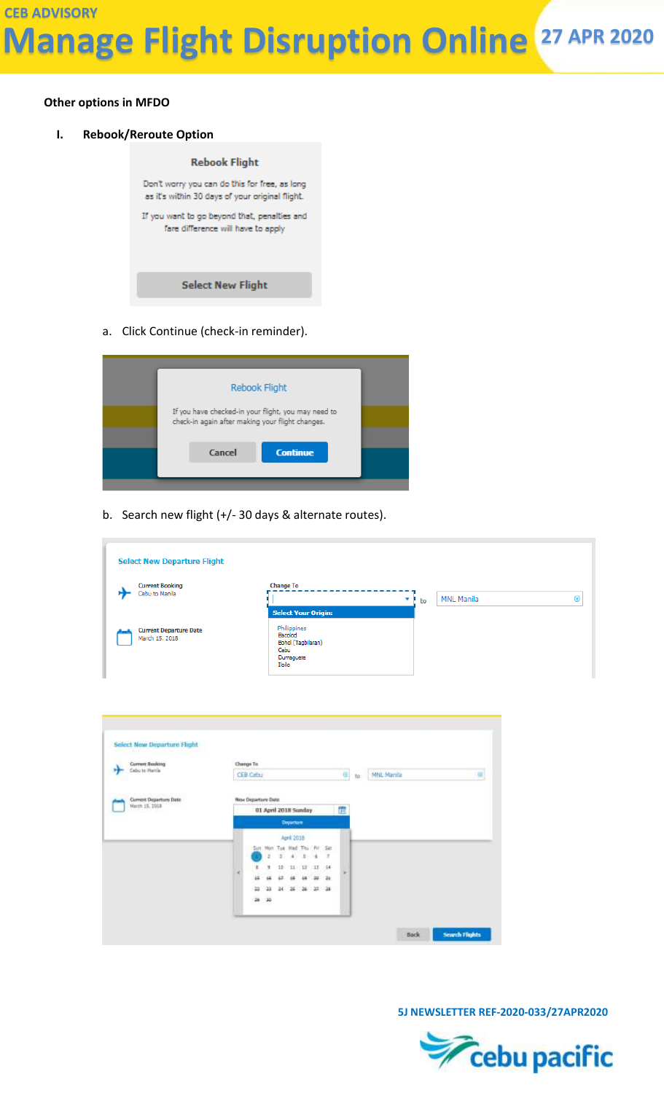#### **Other options in MFDO**

**I. Rebook/Reroute Option**



a. Click Continue (check-in reminder).



b. Search new flight (+/- 30 days & alternate routes).

| <b>Select New Departure Flight</b>              |                                                                             |         |                   |            |
|-------------------------------------------------|-----------------------------------------------------------------------------|---------|-------------------|------------|
| <b>Current Booking</b>                          | <b>Change To</b>                                                            |         |                   |            |
| Cebu to Manila                                  |                                                                             | ٠<br>to | <b>MNL Manila</b> | $^{\circ}$ |
|                                                 | <b>Select Your Origin:</b>                                                  |         |                   |            |
| <b>Current Departure Date</b><br>March 15, 2018 | Philippines<br>Bacolod<br>Bohol (Tagbilaran)<br>Cebu<br>Dumaguete<br>Iloilo |         |                   |            |



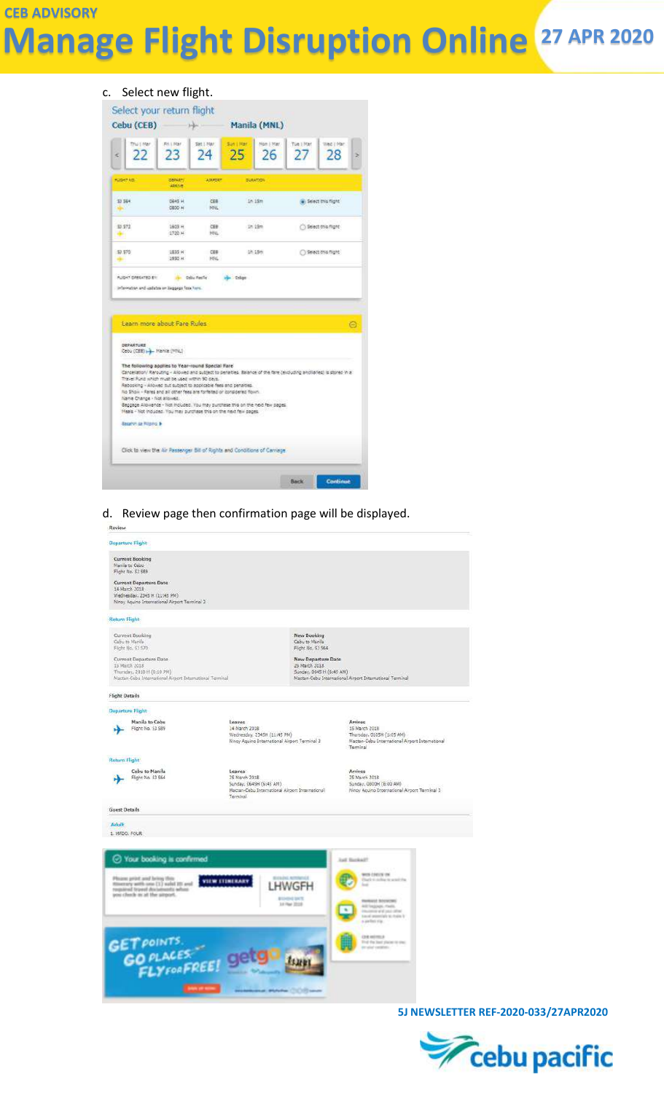# **CEB ADVISORY Manage Flight Disruption Online <sup>27</sup> APR <sup>2020</sup>**

# c. Select new flight.



d. Review page then confirmation page will be displayed.



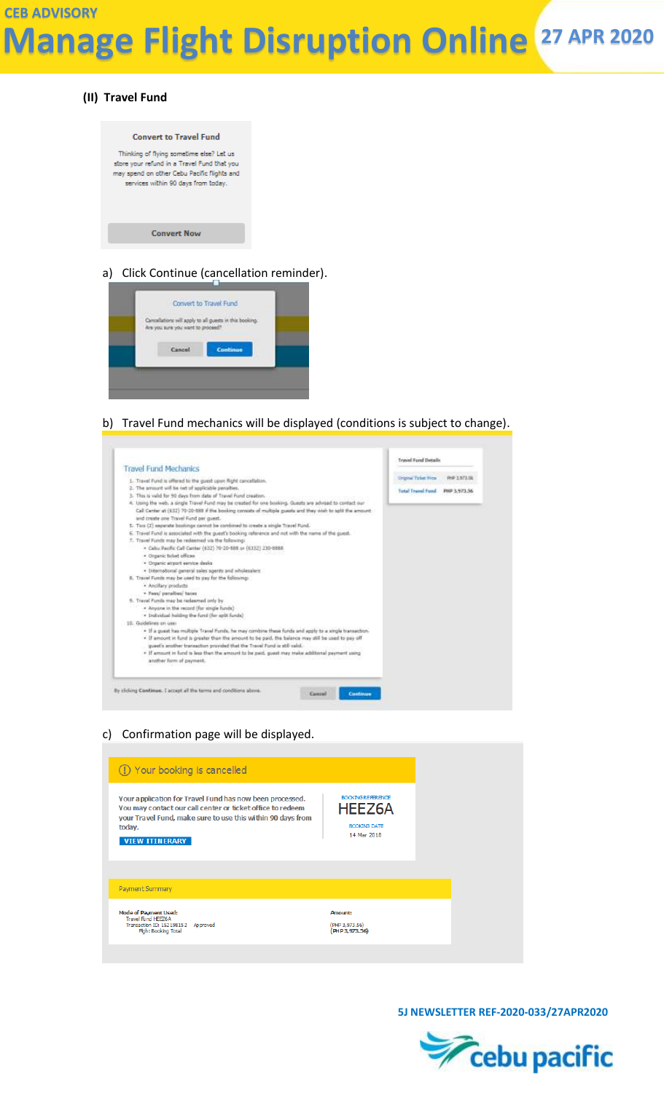### **(II) Travel Fund**



### a) Click Continue (cancellation reminder).



#### b) Travel Fund mechanics will be displayed (conditions is subject to change).



c) Confirmation page will be displayed.

| (1) Your booking is cancelled                                                                                                                                                                                            |                                                                                 |
|--------------------------------------------------------------------------------------------------------------------------------------------------------------------------------------------------------------------------|---------------------------------------------------------------------------------|
| Your application for Travel Fund has now been processed.<br>You may contact our call center or ticket office to redeem<br>your Travel Fund, make sure to use this within 90 days from<br>today.<br><b>VIEW ITINERARY</b> | <b>BOOKING REFERENCE</b><br><b>HEEZ6A</b><br><b>BOOKING DATE</b><br>14 Mar 2018 |
| Payment Summary                                                                                                                                                                                                          |                                                                                 |
| <b>Mode of Payment Used:</b><br>Travel Fund HEEZ6A<br>Transaction ID: 152198152<br>Approved<br><b>Fight Booking Total</b>                                                                                                | Amount:<br>(PHP 3,973.56)<br>(PHP3.973.56)                                      |

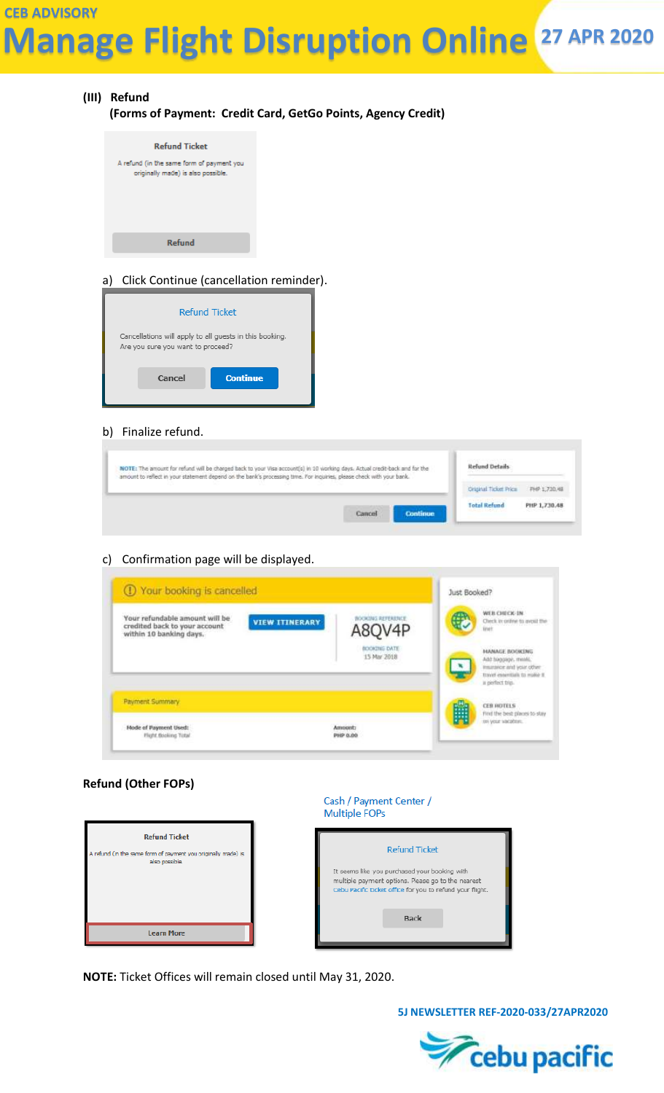# **CEB ADVISORY Manage Flight Disruption Online <sup>27</sup> APR <sup>2020</sup>**

# **(III) Refund (Forms of Payment: Credit Card, GetGo Points, Agency Credit)**



### a) Click Continue (cancellation reminder).



#### b) Finalize refund.

| NOTE: The amount for refund will be charged back to your Visa account(s) in 10 working days. Actual credit-back and for the<br>amount to reflect in your statement depend on the bank's processing time. For inquiries, please check with your bank. |                    | Refund Details                                          |              |
|------------------------------------------------------------------------------------------------------------------------------------------------------------------------------------------------------------------------------------------------------|--------------------|---------------------------------------------------------|--------------|
|                                                                                                                                                                                                                                                      |                    | Original Ticket Price                                   | PHP 1,730.48 |
|                                                                                                                                                                                                                                                      | Continue<br>Cancel | <b>Total Refund</b><br>The second charge of the control | PHP.1,730.48 |

#### c) Confirmation page will be displayed.

|                                                                                                                     |                                    | 1047790004347004                                                                                                                                          |
|---------------------------------------------------------------------------------------------------------------------|------------------------------------|-----------------------------------------------------------------------------------------------------------------------------------------------------------|
| Your refundable amount will be<br><b>VIEW ITINERARY</b><br>credited back to your account<br>within 10 banking days. | <b>BOOKING REFERENCE</b><br>A8QV4P | WEB CHECK-1N<br>Check in online to avoid<br>lirid                                                                                                         |
|                                                                                                                     | BOOKDNG DATE<br>15 Mar 2018        | <b>MARKET SERVICE PROPERTY</b><br>MANAGE BOOKENG<br>Add haggage, meals.<br>Insurance and your other:<br>travel essertials to make it.<br>ii perfect trip. |
| <b>Payment Summary</b>                                                                                              |                                    | <b>CER ROTELS</b><br>First the best places to stay                                                                                                        |
|                                                                                                                     |                                    | ten your vacabors.                                                                                                                                        |

#### **Refund (Other FOPs)**



**NOTE:** Ticket Offices will remain closed until May 31, 2020.